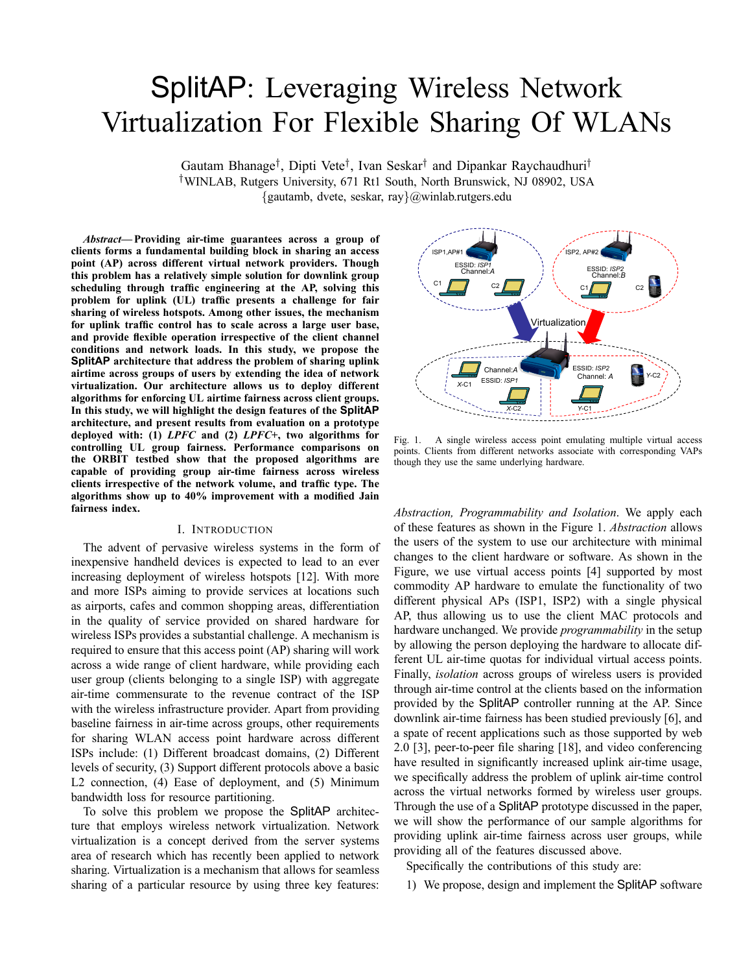# SplitAP: Leveraging Wireless Network Virtualization For Flexible Sharing Of WLANs

Gautam Bhanage†, Dipti Vete†, Ivan Seskar† and Dipankar Raychaudhuri† †WINLAB, Rutgers University, 671 Rt1 South, North Brunswick, NJ 08902, USA {gautamb, dvete, seskar, ray}@winlab.rutgers.edu

*Abstract***— Providing air-time guarantees across a group of clients forms a fundamental building block in sharing an access point (AP) across different virtual network providers. Though this problem has a relatively simple solution for downlink group scheduling through traffic engineering at the AP, solving this problem for uplink (UL) traffic presents a challenge for fair sharing of wireless hotspots. Among other issues, the mechanism for uplink traffic control has to scale across a large user base, and provide flexible operation irrespective of the client channel conditions and network loads. In this study, we propose the SplitAP architecture that address the problem of sharing uplink airtime across groups of users by extending the idea of network virtualization. Our architecture allows us to deploy different algorithms for enforcing UL airtime fairness across client groups. In this study, we will highlight the design features of the SplitAP architecture, and present results from evaluation on a prototype deployed with: (1)** *LPFC* **and (2)** *LPFC***+, two algorithms for controlling UL group fairness. Performance comparisons on the ORBIT testbed show that the proposed algorithms are capable of providing group air-time fairness across wireless clients irrespective of the network volume, and traffic type. The algorithms show up to 40% improvement with a modified Jain fairness index.**

## I. INTRODUCTION

The advent of pervasive wireless systems in the form of inexpensive handheld devices is expected to lead to an ever increasing deployment of wireless hotspots [12]. With more and more ISPs aiming to provide services at locations such as airports, cafes and common shopping areas, differentiation in the quality of service provided on shared hardware for wireless ISPs provides a substantial challenge. A mechanism is required to ensure that this access point (AP) sharing will work across a wide range of client hardware, while providing each user group (clients belonging to a single ISP) with aggregate air-time commensurate to the revenue contract of the ISP with the wireless infrastructure provider. Apart from providing baseline fairness in air-time across groups, other requirements for sharing WLAN access point hardware across different ISPs include: (1) Different broadcast domains, (2) Different levels of security, (3) Support different protocols above a basic L2 connection, (4) Ease of deployment, and (5) Minimum bandwidth loss for resource partitioning.

To solve this problem we propose the SplitAP architecture that employs wireless network virtualization. Network virtualization is a concept derived from the server systems area of research which has recently been applied to network sharing. Virtualization is a mechanism that allows for seamless sharing of a particular resource by using three key features:



Fig. 1. A single wireless access point emulating multiple virtual access points. Clients from different networks associate with corresponding VAPs though they use the same underlying hardware.

*Abstraction, Programmability and Isolation*. We apply each of these features as shown in the Figure 1. *Abstraction* allows the users of the system to use our architecture with minimal changes to the client hardware or software. As shown in the Figure, we use virtual access points [4] supported by most commodity AP hardware to emulate the functionality of two different physical APs (ISP1, ISP2) with a single physical AP, thus allowing us to use the client MAC protocols and hardware unchanged. We provide *programmability* in the setup by allowing the person deploying the hardware to allocate different UL air-time quotas for individual virtual access points. Finally, *isolation* across groups of wireless users is provided through air-time control at the clients based on the information provided by the SplitAP controller running at the AP. Since downlink air-time fairness has been studied previously [6], and a spate of recent applications such as those supported by web 2.0 [3], peer-to-peer file sharing [18], and video conferencing have resulted in significantly increased uplink air-time usage, we specifically address the problem of uplink air-time control across the virtual networks formed by wireless user groups. Through the use of a SplitAP prototype discussed in the paper, we will show the performance of our sample algorithms for providing uplink air-time fairness across user groups, while providing all of the features discussed above.

Specifically the contributions of this study are:

1) We propose, design and implement the SplitAP software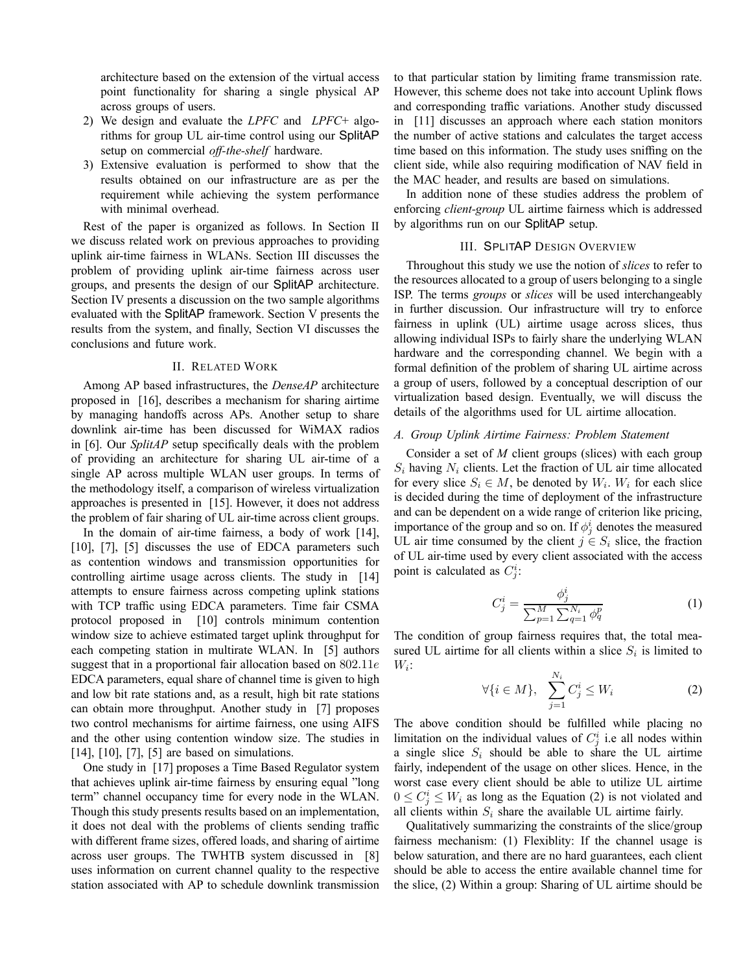architecture based on the extension of the virtual access point functionality for sharing a single physical AP across groups of users.

- 2) We design and evaluate the *LPFC* and *LPFC*+ algorithms for group UL air-time control using our SplitAP setup on commercial *off-the-shelf* hardware.
- 3) Extensive evaluation is performed to show that the results obtained on our infrastructure are as per the requirement while achieving the system performance with minimal overhead.

Rest of the paper is organized as follows. In Section II we discuss related work on previous approaches to providing uplink air-time fairness in WLANs. Section III discusses the problem of providing uplink air-time fairness across user groups, and presents the design of our SplitAP architecture. Section IV presents a discussion on the two sample algorithms evaluated with the SplitAP framework. Section V presents the results from the system, and finally, Section VI discusses the conclusions and future work.

## II. RELATED WORK

Among AP based infrastructures, the *DenseAP* architecture proposed in [16], describes a mechanism for sharing airtime by managing handoffs across APs. Another setup to share downlink air-time has been discussed for WiMAX radios in [6]. Our *SplitAP* setup specifically deals with the problem of providing an architecture for sharing UL air-time of a single AP across multiple WLAN user groups. In terms of the methodology itself, a comparison of wireless virtualization approaches is presented in [15]. However, it does not address the problem of fair sharing of UL air-time across client groups.

In the domain of air-time fairness, a body of work [14], [10], [7], [5] discusses the use of EDCA parameters such as contention windows and transmission opportunities for controlling airtime usage across clients. The study in [14] attempts to ensure fairness across competing uplink stations with TCP traffic using EDCA parameters. Time fair CSMA protocol proposed in [10] controls minimum contention window size to achieve estimated target uplink throughput for each competing station in multirate WLAN. In [5] authors suggest that in a proportional fair allocation based on 802.11e EDCA parameters, equal share of channel time is given to high and low bit rate stations and, as a result, high bit rate stations can obtain more throughput. Another study in [7] proposes two control mechanisms for airtime fairness, one using AIFS and the other using contention window size. The studies in [14], [10], [7], [5] are based on simulations.

One study in [17] proposes a Time Based Regulator system that achieves uplink air-time fairness by ensuring equal "long term" channel occupancy time for every node in the WLAN. Though this study presents results based on an implementation, it does not deal with the problems of clients sending traffic with different frame sizes, offered loads, and sharing of airtime across user groups. The TWHTB system discussed in [8] uses information on current channel quality to the respective station associated with AP to schedule downlink transmission to that particular station by limiting frame transmission rate. However, this scheme does not take into account Uplink flows and corresponding traffic variations. Another study discussed in [11] discusses an approach where each station monitors the number of active stations and calculates the target access time based on this information. The study uses sniffing on the client side, while also requiring modification of NAV field in the MAC header, and results are based on simulations.

In addition none of these studies address the problem of enforcing *client-group* UL airtime fairness which is addressed by algorithms run on our SplitAP setup.

## III. SPLITAP DESIGN OVERVIEW

Throughout this study we use the notion of *slices* to refer to the resources allocated to a group of users belonging to a single ISP. The terms *groups* or *slices* will be used interchangeably in further discussion. Our infrastructure will try to enforce fairness in uplink (UL) airtime usage across slices, thus allowing individual ISPs to fairly share the underlying WLAN hardware and the corresponding channel. We begin with a formal definition of the problem of sharing UL airtime across a group of users, followed by a conceptual description of our virtualization based design. Eventually, we will discuss the details of the algorithms used for UL airtime allocation.

## *A. Group Uplink Airtime Fairness: Problem Statement*

Consider a set of *M* client groups (slices) with each group  $S_i$  having  $N_i$  clients. Let the fraction of UL air time allocated for every slice  $S_i \in M$ , be denoted by  $W_i$ .  $W_i$  for each slice is decided during the time of deployment of the infrastructure and can be dependent on a wide range of criterion like pricing, importance of the group and so on. If  $\phi_j^i$  denotes the measured UL air time consumed by the client  $j \in S_i$  slice, the fraction of UL air-time used by every client associated with the access point is calculated as  $C_j^i$ :

$$
C_j^i = \frac{\phi_j^i}{\sum_{p=1}^M \sum_{q=1}^{N_i} \phi_q^p}
$$
 (1)

The condition of group fairness requires that, the total measured UL airtime for all clients within a slice  $S_i$  is limited to  $W_i$ :

$$
\forall \{i \in M\}, \quad \sum_{j=1}^{N_i} C_j^i \le W_i \tag{2}
$$

The above condition should be fulfilled while placing no limitation on the individual values of  $C_j^i$  i.e all nodes within a single slice  $S_i$  should be able to share the UL airtime fairly, independent of the usage on other slices. Hence, in the worst case every client should be able to utilize UL airtime  $0 \leq C_j^i \leq W_i$  as long as the Equation (2) is not violated and all clients within  $S_i$  share the available UL airtime fairly.

Qualitatively summarizing the constraints of the slice/group fairness mechanism: (1) Flexiblity: If the channel usage is below saturation, and there are no hard guarantees, each client should be able to access the entire available channel time for the slice, (2) Within a group: Sharing of UL airtime should be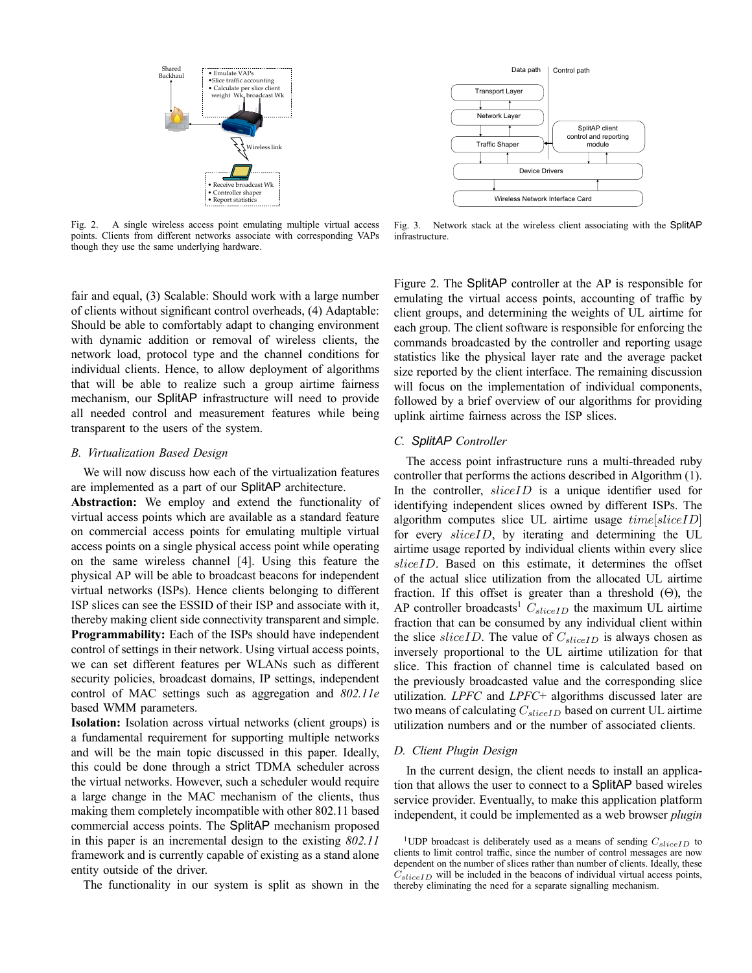

Fig. 2. A single wireless access point emulating multiple virtual access points. Clients from different networks associate with corresponding VAPs though they use the same underlying hardware.

fair and equal, (3) Scalable: Should work with a large number of clients without significant control overheads, (4) Adaptable: Should be able to comfortably adapt to changing environment with dynamic addition or removal of wireless clients, the network load, protocol type and the channel conditions for individual clients. Hence, to allow deployment of algorithms that will be able to realize such a group airtime fairness mechanism, our SplitAP infrastructure will need to provide all needed control and measurement features while being transparent to the users of the system.

# *B. Virtualization Based Design*

We will now discuss how each of the virtualization features are implemented as a part of our SplitAP architecture.

**Abstraction:** We employ and extend the functionality of virtual access points which are available as a standard feature on commercial access points for emulating multiple virtual access points on a single physical access point while operating on the same wireless channel [4]. Using this feature the physical AP will be able to broadcast beacons for independent virtual networks (ISPs). Hence clients belonging to different ISP slices can see the ESSID of their ISP and associate with it, thereby making client side connectivity transparent and simple. **Programmability:** Each of the ISPs should have independent control of settings in their network. Using virtual access points, we can set different features per WLANs such as different security policies, broadcast domains, IP settings, independent control of MAC settings such as aggregation and *802.11e* based WMM parameters.

**Isolation:** Isolation across virtual networks (client groups) is a fundamental requirement for supporting multiple networks and will be the main topic discussed in this paper. Ideally, this could be done through a strict TDMA scheduler across the virtual networks. However, such a scheduler would require a large change in the MAC mechanism of the clients, thus making them completely incompatible with other 802.11 based commercial access points. The SplitAP mechanism proposed in this paper is an incremental design to the existing *802.11* framework and is currently capable of existing as a stand alone entity outside of the driver.

The functionality in our system is split as shown in the



Fig. 3. Network stack at the wireless client associating with the SplitAP infrastructure.

Figure 2. The SplitAP controller at the AP is responsible for emulating the virtual access points, accounting of traffic by client groups, and determining the weights of UL airtime for each group. The client software is responsible for enforcing the commands broadcasted by the controller and reporting usage statistics like the physical layer rate and the average packet size reported by the client interface. The remaining discussion will focus on the implementation of individual components, followed by a brief overview of our algorithms for providing uplink airtime fairness across the ISP slices.

# *C. SplitAP Controller*

The access point infrastructure runs a multi-threaded ruby controller that performs the actions described in Algorithm (1). In the controller, sliceID is a unique identifier used for identifying independent slices owned by different ISPs. The algorithm computes slice UL airtime usage  $time[sliceID]$ for every sliceID, by iterating and determining the UL airtime usage reported by individual clients within every slice sliceID. Based on this estimate, it determines the offset of the actual slice utilization from the allocated UL airtime fraction. If this offset is greater than a threshold  $(\Theta)$ , the AP controller broadcasts<sup>1</sup>  $C_{sliceID}$  the maximum UL airtime fraction that can be consumed by any individual client within the slice sliceID. The value of  $C_{sliceID}$  is always chosen as inversely proportional to the UL airtime utilization for that slice. This fraction of channel time is calculated based on the previously broadcasted value and the corresponding slice utilization. *LPFC* and *LPFC*+ algorithms discussed later are two means of calculating  $C_{sliceID}$  based on current UL airtime utilization numbers and or the number of associated clients.

# *D. Client Plugin Design*

In the current design, the client needs to install an application that allows the user to connect to a SplitAP based wireles service provider. Eventually, to make this application platform independent, it could be implemented as a web browser *plugin*

<sup>&</sup>lt;sup>1</sup>UDP broadcast is deliberately used as a means of sending  $C_{sliceID}$  to clients to limit control traffic, since the number of control messages are now dependent on the number of slices rather than number of clients. Ideally, these  $C_{sliceID}$  will be included in the beacons of individual virtual access points, thereby eliminating the need for a separate signalling mechanism.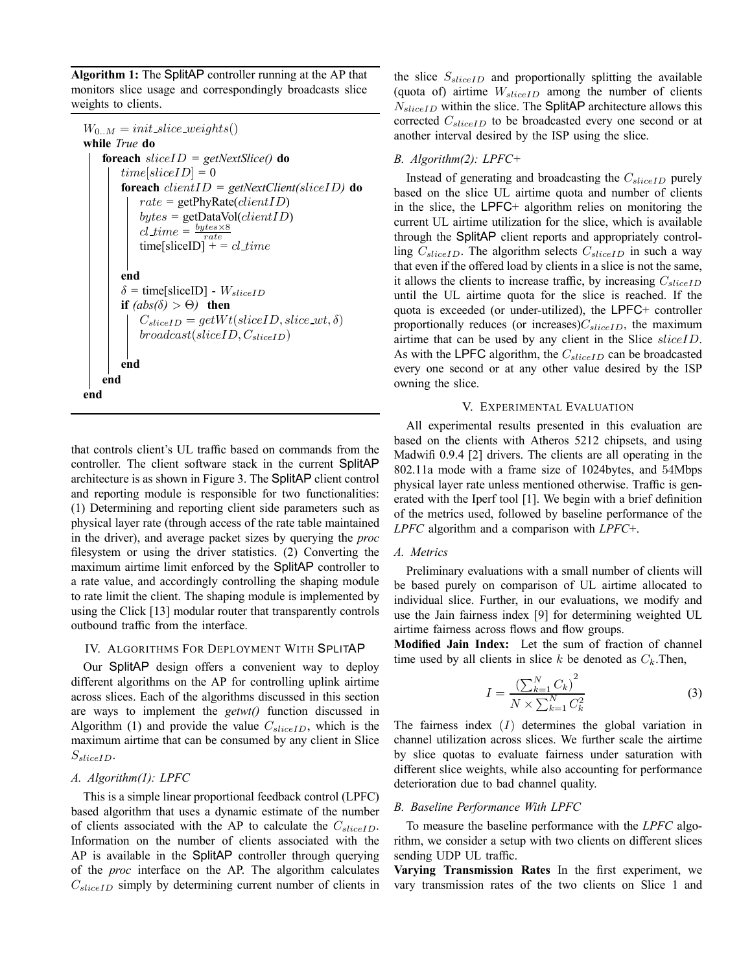**Algorithm 1:** The SplitAP controller running at the AP that monitors slice usage and correspondingly broadcasts slice weights to clients.

```
W_{0..M} = init\_slice\_weights()while True do
    foreach sliceID = getNextSlice() do
       time[sliceID] = 0foreach clientID = getNextClient(sliceID) do
           rate = getPhyRate(clientID)bytes = getDataVol(clientID)cl\_time = \frac{bytes \times 8}{rate}time[sliceID] + = cl\_timeend
       \delta = time[sliceID] - W_{sliceID}if (abs(\delta) > \Theta) then
           C_{sliceID} = getWt(sliceID, slice\_wt, \delta)broadcast(sliceID, C_{sliceID})end
   end
end
```
that controls client's UL traffic based on commands from the controller. The client software stack in the current SplitAP architecture is as shown in Figure 3. The SplitAP client control and reporting module is responsible for two functionalities: (1) Determining and reporting client side parameters such as physical layer rate (through access of the rate table maintained in the driver), and average packet sizes by querying the *proc* filesystem or using the driver statistics. (2) Converting the maximum airtime limit enforced by the SplitAP controller to a rate value, and accordingly controlling the shaping module to rate limit the client. The shaping module is implemented by using the Click [13] modular router that transparently controls outbound traffic from the interface.

## IV. ALGORITHMS FOR DEPLOYMENT WITH SPLITAP

Our SplitAP design offers a convenient way to deploy different algorithms on the AP for controlling uplink airtime across slices. Each of the algorithms discussed in this section are ways to implement the *getwt()* function discussed in Algorithm (1) and provide the value  $C_{sliceID}$ , which is the maximum airtime that can be consumed by any client in Slice  $S_{sliceID}$ .

# *A. Algorithm(1): LPFC*

This is a simple linear proportional feedback control (LPFC) based algorithm that uses a dynamic estimate of the number of clients associated with the AP to calculate the  $C_{sliceID}$ . Information on the number of clients associated with the AP is available in the SplitAP controller through querying of the *proc* interface on the AP. The algorithm calculates  $C_{sliceID}$  simply by determining current number of clients in

the slice  $S_{sliceID}$  and proportionally splitting the available (quota of) airtime  $W_{sliceID}$  among the number of clients  $N_{sliceID}$  within the slice. The SplitAP architecture allows this corrected  $C_{sliceID}$  to be broadcasted every one second or at another interval desired by the ISP using the slice.

#### *B. Algorithm(2): LPFC+*

Instead of generating and broadcasting the  $C_{sliceID}$  purely based on the slice UL airtime quota and number of clients in the slice, the LPFC+ algorithm relies on monitoring the current UL airtime utilization for the slice, which is available through the SplitAP client reports and appropriately controlling  $C_{sliceID}$ . The algorithm selects  $C_{sliceID}$  in such a way that even if the offered load by clients in a slice is not the same, it allows the clients to increase traffic, by increasing  $C_{sliceID}$ until the UL airtime quota for the slice is reached. If the quota is exceeded (or under-utilized), the LPFC+ controller proportionally reduces (or increases) $C_{sliceID}$ , the maximum airtime that can be used by any client in the Slice  $sliceID$ . As with the LPFC algorithm, the  $C_{sliceID}$  can be broadcasted every one second or at any other value desired by the ISP owning the slice.

# V. EXPERIMENTAL EVALUATION

All experimental results presented in this evaluation are based on the clients with Atheros 5212 chipsets, and using Madwifi 0.9.4 [2] drivers. The clients are all operating in the 802.11a mode with a frame size of 1024bytes, and 54Mbps physical layer rate unless mentioned otherwise. Traffic is generated with the Iperf tool [1]. We begin with a brief definition of the metrics used, followed by baseline performance of the *LPFC* algorithm and a comparison with *LPFC*+.

# *A. Metrics*

Preliminary evaluations with a small number of clients will be based purely on comparison of UL airtime allocated to individual slice. Further, in our evaluations, we modify and use the Jain fairness index [9] for determining weighted UL airtime fairness across flows and flow groups.

**Modified Jain Index:** Let the sum of fraction of channel time used by all clients in slice k be denoted as  $C_k$ . Then,

$$
I = \frac{\left(\sum_{k=1}^{N} C_k\right)^2}{N \times \sum_{k=1}^{N} C_k^2}
$$
 (3)

The fairness index  $(I)$  determines the global variation in channel utilization across slices. We further scale the airtime by slice quotas to evaluate fairness under saturation with different slice weights, while also accounting for performance deterioration due to bad channel quality.

## *B. Baseline Performance With LPFC*

To measure the baseline performance with the *LPFC* algorithm, we consider a setup with two clients on different slices sending UDP UL traffic.

**Varying Transmission Rates** In the first experiment, we vary transmission rates of the two clients on Slice 1 and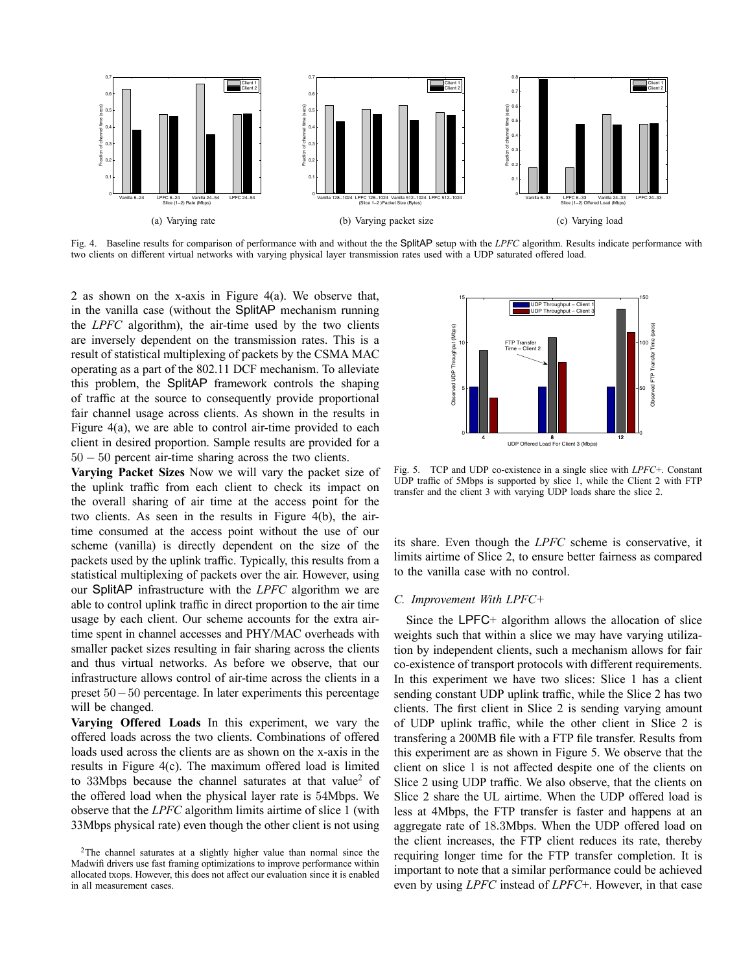

Fig. 4. Baseline results for comparison of performance with and without the the SplitAP setup with the *LPFC* algorithm. Results indicate performance with two clients on different virtual networks with varying physical layer transmission rates used with a UDP saturated offered load.

2 as shown on the x-axis in Figure 4(a). We observe that, in the vanilla case (without the SplitAP mechanism running the *LPFC* algorithm), the air-time used by the two clients are inversely dependent on the transmission rates. This is a result of statistical multiplexing of packets by the CSMA MAC operating as a part of the 802.11 DCF mechanism. To alleviate this problem, the SplitAP framework controls the shaping of traffic at the source to consequently provide proportional fair channel usage across clients. As shown in the results in Figure 4(a), we are able to control air-time provided to each client in desired proportion. Sample results are provided for a 50 − 50 percent air-time sharing across the two clients.

**Varying Packet Sizes** Now we will vary the packet size of the uplink traffic from each client to check its impact on the overall sharing of air time at the access point for the two clients. As seen in the results in Figure 4(b), the airtime consumed at the access point without the use of our scheme (vanilla) is directly dependent on the size of the packets used by the uplink traffic. Typically, this results from a statistical multiplexing of packets over the air. However, using our SplitAP infrastructure with the *LPFC* algorithm we are able to control uplink traffic in direct proportion to the air time usage by each client. Our scheme accounts for the extra airtime spent in channel accesses and PHY/MAC overheads with smaller packet sizes resulting in fair sharing across the clients and thus virtual networks. As before we observe, that our infrastructure allows control of air-time across the clients in a preset 50−50 percentage. In later experiments this percentage will be changed.

**Varying Offered Loads** In this experiment, we vary the offered loads across the two clients. Combinations of offered loads used across the clients are as shown on the x-axis in the results in Figure 4(c). The maximum offered load is limited to 33Mbps because the channel saturates at that value<sup>2</sup> of the offered load when the physical layer rate is 54Mbps. We observe that the *LPFC* algorithm limits airtime of slice 1 (with 33Mbps physical rate) even though the other client is not using



Fig. 5. TCP and UDP co-existence in a single slice with *LPFC*+. Constant UDP traffic of 5Mbps is supported by slice 1, while the Client 2 with FTP transfer and the client 3 with varying UDP loads share the slice 2.

its share. Even though the *LPFC* scheme is conservative, it limits airtime of Slice 2, to ensure better fairness as compared to the vanilla case with no control.

#### *C. Improvement With LPFC+*

Since the LPFC+ algorithm allows the allocation of slice weights such that within a slice we may have varying utilization by independent clients, such a mechanism allows for fair co-existence of transport protocols with different requirements. In this experiment we have two slices: Slice 1 has a client sending constant UDP uplink traffic, while the Slice 2 has two clients. The first client in Slice 2 is sending varying amount of UDP uplink traffic, while the other client in Slice 2 is transfering a 200MB file with a FTP file transfer. Results from this experiment are as shown in Figure 5. We observe that the client on slice 1 is not affected despite one of the clients on Slice 2 using UDP traffic. We also observe, that the clients on Slice 2 share the UL airtime. When the UDP offered load is less at 4Mbps, the FTP transfer is faster and happens at an aggregate rate of 18.3Mbps. When the UDP offered load on the client increases, the FTP client reduces its rate, thereby requiring longer time for the FTP transfer completion. It is important to note that a similar performance could be achieved even by using *LPFC* instead of *LPFC*+. However, in that case

<sup>2</sup>The channel saturates at a slightly higher value than normal since the Madwifi drivers use fast framing optimizations to improve performance within allocated txops. However, this does not affect our evaluation since it is enabled in all measurement cases.